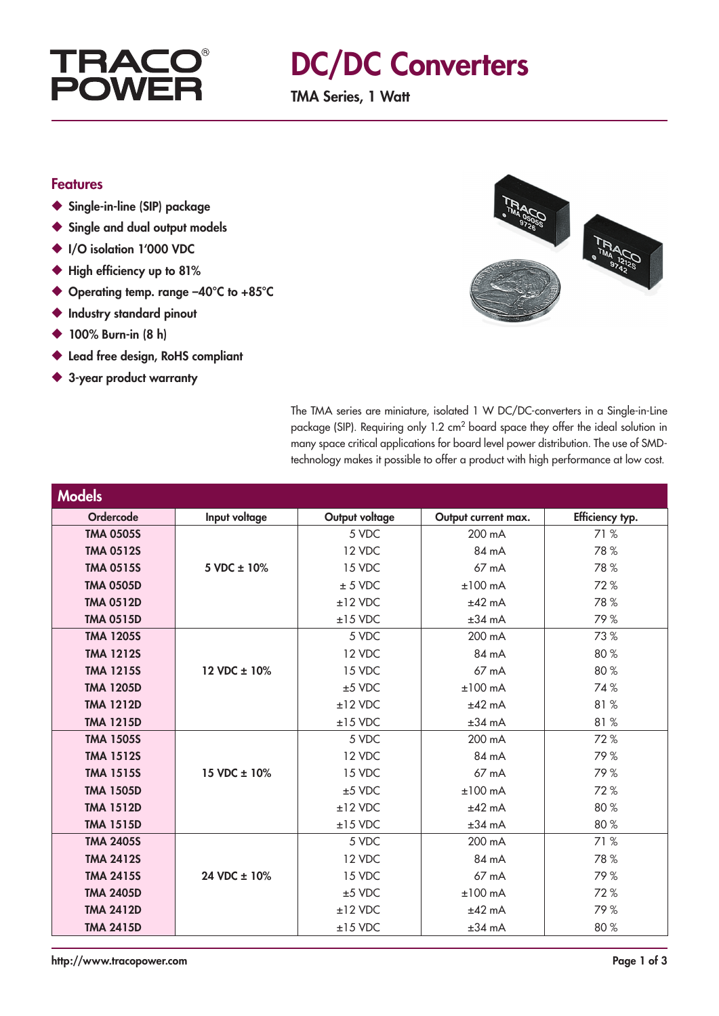

## DC/DC Converters

TMA Series, 1 Watt

#### Features

- ◆ Single-in-line (SIP) package
- ◆ Single and dual output models
- ◆ I/O isolation 1'000 VDC
- ◆ High efficiency up to 81%
- ◆ Operating temp. range -40°C to +85°C
- ◆ Industry standard pinout
- ◆ 100% Burn-in (8 h)
- ◆ Lead free design, RoHS compliant
- ◆ 3-year product warranty



The TMA series are miniature, isolated 1 W DC/DC-converters in a Single-in-Line package (SIP). Requiring only 1.2 cm2 board space they offer the ideal solution in many space critical applications for board level power distribution. The use of SMDtechnology makes it possible to offer a product with high performance at low cost.

| <b>Models</b>    |                  |                |                     |                 |
|------------------|------------------|----------------|---------------------|-----------------|
| Ordercode        | Input voltage    | Output voltage | Output current max. | Efficiency typ. |
| <b>TMA 0505S</b> |                  | 5 VDC          | 200 mA              | 71 %            |
| <b>TMA 0512S</b> |                  | 12 VDC         | 84 mA               | 78%             |
| <b>TMA 0515S</b> | 5 VDC $\pm$ 10%  | 15 VDC         | 67 mA               | 78%             |
| <b>TMA 0505D</b> |                  | $± 5$ VDC      | $±100$ mA           | 72%             |
| <b>TMA 0512D</b> |                  | $±12$ VDC      | $±42$ mA            | 78%             |
| <b>TMA 0515D</b> |                  | $±15$ VDC      | $±34$ mA            | 79%             |
| <b>TMA 1205S</b> |                  | 5 VDC          | 200 mA              | 73%             |
| <b>TMA 1212S</b> |                  | 12 VDC         | 84 mA               | 80%             |
| <b>TMA 1215S</b> | 12 VDC ± 10%     | 15 VDC         | $67 \text{ mA}$     | 80%             |
| <b>TMA 1205D</b> |                  | $±5$ VDC       | $±100$ mA           | 74%             |
| <b>TMA 1212D</b> |                  | $±12$ VDC      | $±42$ mA            | 81%             |
| <b>TMA 1215D</b> |                  | $±15$ VDC      | ±34 mA              | 81%             |
| <b>TMA 1505S</b> |                  | 5 VDC          | 200 mA              | 72%             |
| <b>TMA 1512S</b> |                  | 12 VDC         | 84 mA               | 79%             |
| <b>TMA 1515S</b> | 15 VDC ± 10%     | 15 VDC         | 67 mA               | 79%             |
| <b>TMA 1505D</b> |                  | $±5$ VDC       | $±100$ mA           | 72%             |
| <b>TMA 1512D</b> |                  | $±12$ VDC      | $±42$ mA            | 80%             |
| <b>TMA 1515D</b> |                  | $±15$ VDC      | $±34$ mA            | 80%             |
| <b>TMA 2405S</b> |                  | 5 VDC          | 200 mA              | 71%             |
| <b>TMA 2412S</b> |                  | 12 VDC         | 84 mA               | 78%             |
| <b>TMA 2415S</b> | 24 VDC $\pm$ 10% | 15 VDC         | 67 mA               | 79%             |
| <b>TMA 2405D</b> |                  | $±5$ VDC       | $±100$ mA           | 72%             |
| <b>TMA 2412D</b> |                  | $±12$ VDC      | $±42$ mA            | 79%             |
| <b>TMA 2415D</b> |                  | $±15$ VDC      | $±34$ mA            | 80%             |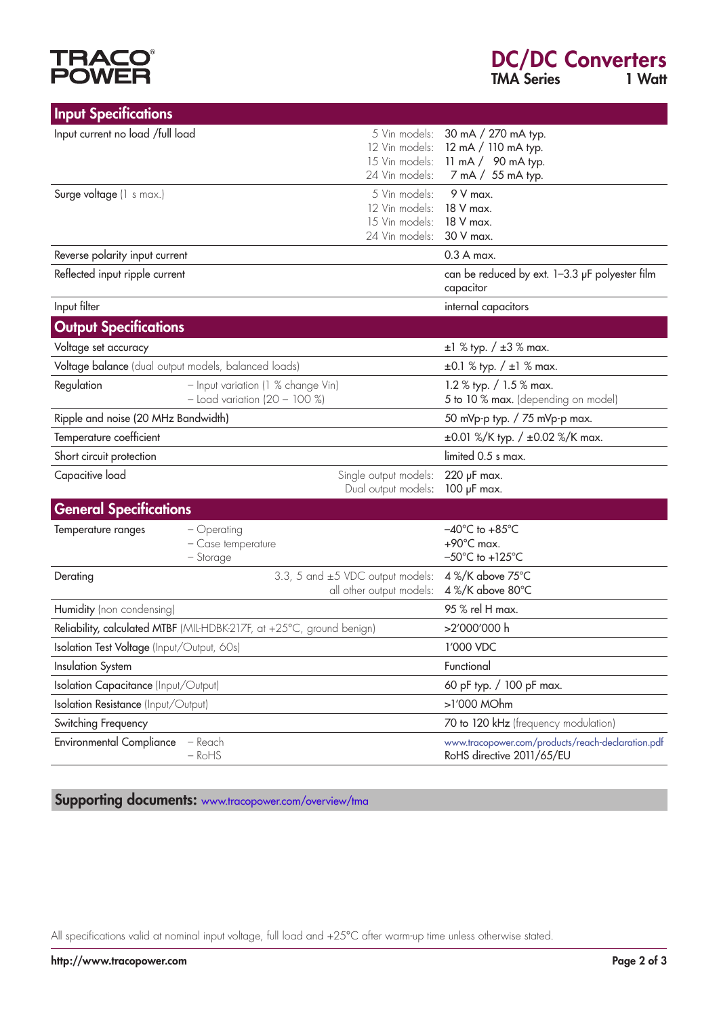# **TRACO®**<br>POWER

| <b>Input Specifications</b>                                                   |                                                                       |                                                                     |                                                                                                      |
|-------------------------------------------------------------------------------|-----------------------------------------------------------------------|---------------------------------------------------------------------|------------------------------------------------------------------------------------------------------|
| Input current no load /full load                                              |                                                                       | 5 Vin models:<br>15 Vin models:<br>24 Vin models:                   | 30 mA / 270 mA typ.<br>12 Vin models: 12 mA / 110 mA typ.<br>11 mA / 90 mA typ.<br>7 mA / 55 mA typ. |
| Surge voltage (1 s max.)                                                      |                                                                       | 5 Vin models:<br>12 Vin models:<br>15 Vin models:<br>24 Vin models: | $9V$ max.<br>18 V max.<br>18 V max.<br>30 V max.                                                     |
| Reverse polarity input current                                                |                                                                       |                                                                     | $0.3A$ max.                                                                                          |
| Reflected input ripple current                                                |                                                                       |                                                                     | can be reduced by ext. 1-3.3 µF polyester film<br>capacitor                                          |
| Input filter                                                                  |                                                                       |                                                                     | internal capacitors                                                                                  |
| <b>Output Specifications</b>                                                  |                                                                       |                                                                     |                                                                                                      |
| Voltage set accuracy                                                          |                                                                       |                                                                     | $\pm 1$ % typ. / $\pm 3$ % max.                                                                      |
| Voltage balance (dual output models, balanced loads)                          |                                                                       |                                                                     | $\pm 0.1$ % typ. / $\pm 1$ % max.                                                                    |
| Regulation                                                                    | - Input variation (1 % change Vin)<br>$-$ Load variation (20 - 100 %) |                                                                     | 1.2 % typ. $/ 1.5$ % max.<br>5 to 10 % max. (depending on model)                                     |
| Ripple and noise (20 MHz Bandwidth)                                           |                                                                       |                                                                     | 50 mVp-p typ. / 75 mVp-p max.                                                                        |
| Temperature coefficient                                                       |                                                                       |                                                                     | $\pm 0.01$ %/K typ. / $\pm 0.02$ %/K max.                                                            |
| Short circuit protection                                                      |                                                                       |                                                                     | limited 0.5 s max.                                                                                   |
| Capacitive load                                                               |                                                                       | Single output models:<br>Dual output models:                        | $220$ $\mu$ F max.<br>100 µF max.                                                                    |
| <b>General Specifications</b>                                                 |                                                                       |                                                                     |                                                                                                      |
| Temperature ranges                                                            | $-$ Operating<br>- Case temperature<br>- Storage                      |                                                                     | $-40^{\circ}$ C to $+85^{\circ}$ C<br>$+90^{\circ}$ C max.<br>$-50^{\circ}$ C to +125 $^{\circ}$ C   |
| 3.3, 5 and $\pm$ 5 VDC output models:<br>Derating<br>all other output models: |                                                                       |                                                                     | 4 %/K above 75°C<br>4 %/K above 80°C                                                                 |
| Humidity (non condensing)                                                     |                                                                       |                                                                     | 95 % rel H max.                                                                                      |
| Reliability, calculated MTBF (MIL-HDBK-217F, at +25°C, ground benign)         |                                                                       |                                                                     | >2'000'000 h                                                                                         |
| Isolation Test Voltage (Input/Output, 60s)                                    |                                                                       |                                                                     | 1'000 VDC                                                                                            |
| <b>Insulation System</b>                                                      |                                                                       |                                                                     | Functional                                                                                           |
| <b>Isolation Capacitance (Input/Output)</b>                                   |                                                                       |                                                                     | 60 pF typ. / 100 pF max.                                                                             |
| <b>Isolation Resistance</b> (Input/Output)                                    |                                                                       |                                                                     | >1'000 MOhm                                                                                          |
| Switching Frequency                                                           |                                                                       |                                                                     | 70 to 120 kHz (frequency modulation)                                                                 |
| <b>Environmental Compliance</b>                                               | $-$ Reach<br>$ RoHS$                                                  |                                                                     | www.tracopower.com/products/reach-declaration.pdf<br>RoHS directive 2011/65/EU                       |

Supporting documents: www.tracopower.com/overview/tma

All specifications valid at nominal input voltage, full load and +25°C after warm-up time unless otherwise stated.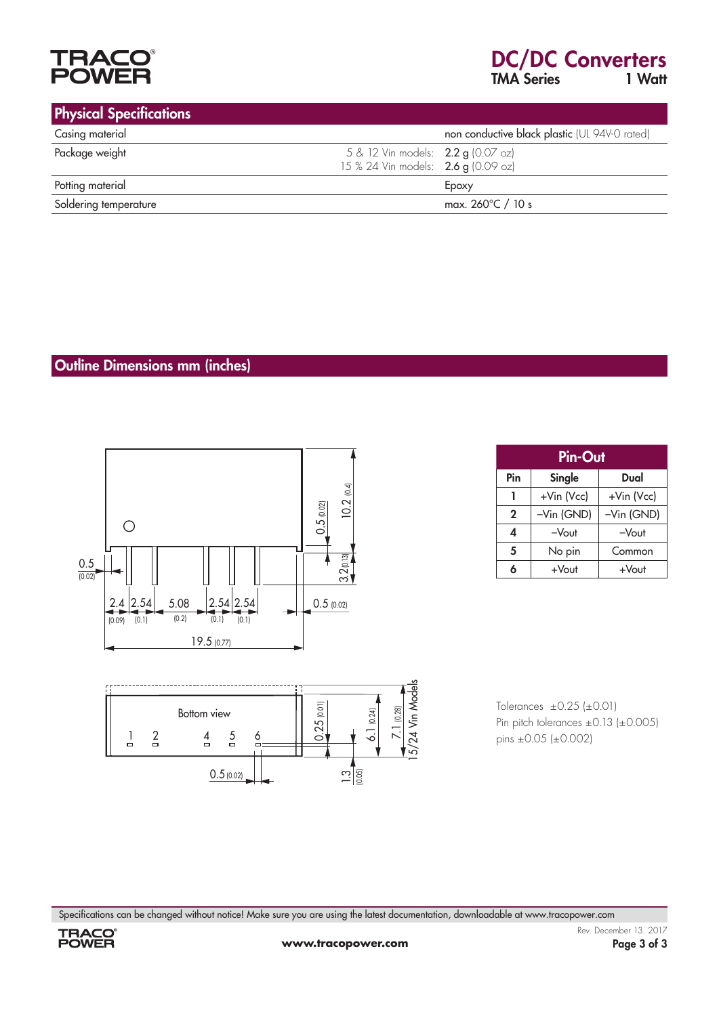

#### Physical Specifications Casing material **Casing material** non conductive black plastic (UL 94V-0 rated) **Package weight 12 Vin models: 2.2 g (0.07 oz)**  15 % 24 Vin models: 2.6 g (0.09 oz) Potting material Epoxy Soldering temperature max. 260°C / 10 s

#### Outline Dimensions mm (inches)





Tolerances  $\pm 0.25$  ( $\pm 0.01$ ) Pin pitch tolerances  $\pm 0.13$  ( $\pm 0.005$ ) pins  $\pm 0.05$  ( $\pm 0.002$ )

Specifications can be changed without notice! Make sure you are using the latest documentation, downloadable at www.tracopower.com



| <b>Pin-Out</b> |            |            |  |  |  |
|----------------|------------|------------|--|--|--|
| Pin            | Single     | Dual       |  |  |  |
|                | +Vin (Vcc) | +Vin (Vcc) |  |  |  |
| $\mathbf 2$    | -Vin (GND) | -Vin (GND) |  |  |  |
| 4              | $-V$ out   | $-V$ out   |  |  |  |
| 5              | No pin     | Common     |  |  |  |
| Á              | $+V$ out   | +Vout      |  |  |  |